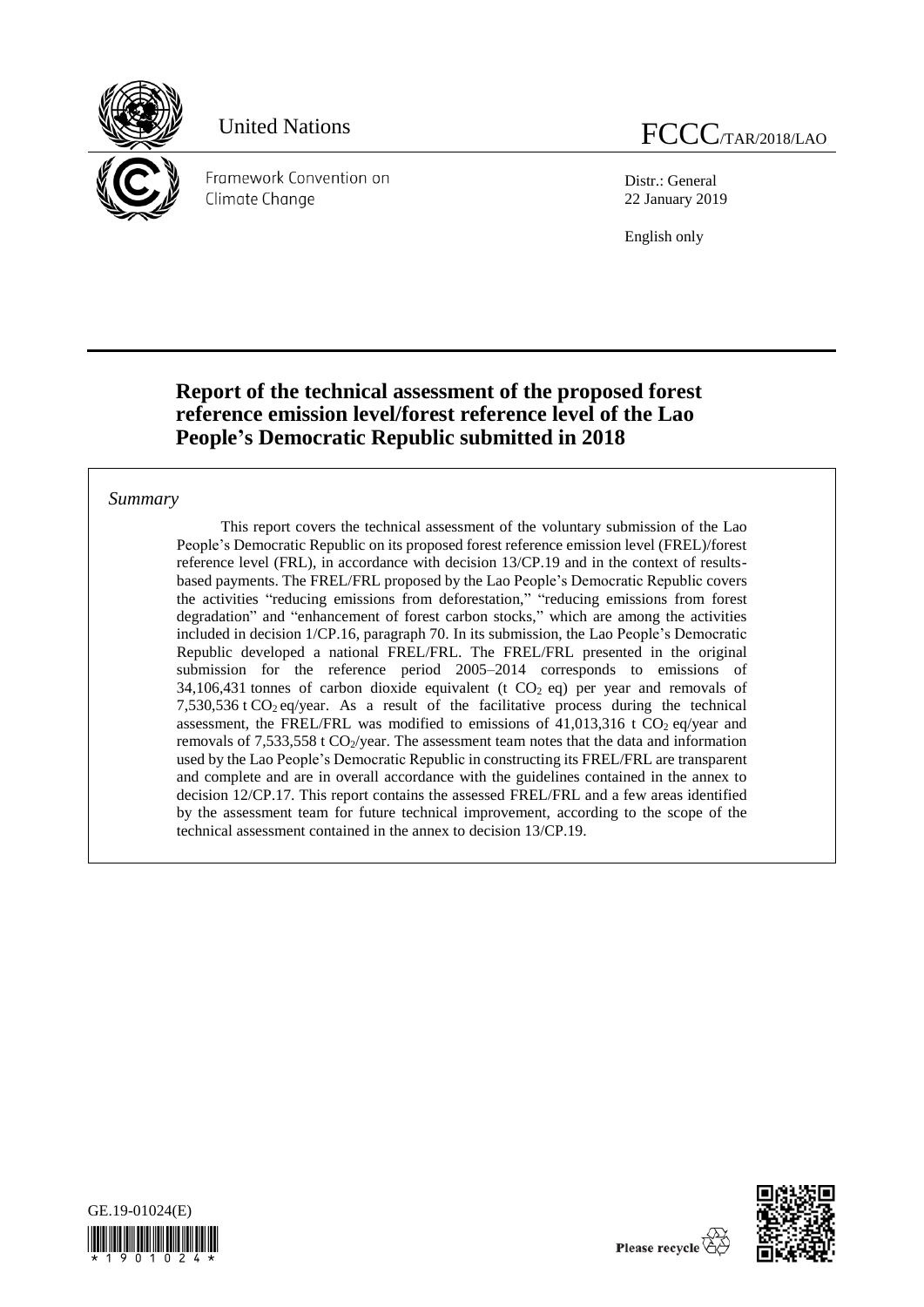

Framework Convention on Climate Chanae

United Nations FCCC<sub>/TAR/2018/LAO</sub>

Distr.: General 22 January 2019

English only

## **Report of the technical assessment of the proposed forest reference emission level/forest reference level of the Lao People's Democratic Republic submitted in 2018**

### *Summary*

This report covers the technical assessment of the voluntary submission of the Lao People's Democratic Republic on its proposed forest reference emission level (FREL)/forest reference level (FRL), in accordance with decision 13/CP.19 and in the context of resultsbased payments. The FREL/FRL proposed by the Lao People's Democratic Republic covers the activities "reducing emissions from deforestation," "reducing emissions from forest degradation" and "enhancement of forest carbon stocks," which are among the activities included in decision 1/CP.16, paragraph 70. In its submission, the Lao People's Democratic Republic developed a national FREL/FRL. The FREL/FRL presented in the original submission for the reference period 2005–2014 corresponds to emissions of 34,106,431 tonnes of carbon dioxide equivalent (t  $CO<sub>2</sub>$  eq) per year and removals of 7,530,536 t  $CO<sub>2</sub>$  eq/year. As a result of the facilitative process during the technical assessment, the FREL/FRL was modified to emissions of  $41,013,316$  t CO<sub>2</sub> eq/year and removals of 7,533,558 t  $CO_2$ /year. The assessment team notes that the data and information used by the Lao People's Democratic Republic in constructing its FREL/FRL are transparent and complete and are in overall accordance with the guidelines contained in the annex to decision 12/CP.17. This report contains the assessed FREL/FRL and a few areas identified by the assessment team for future technical improvement, according to the scope of the technical assessment contained in the annex to decision 13/CP.19.



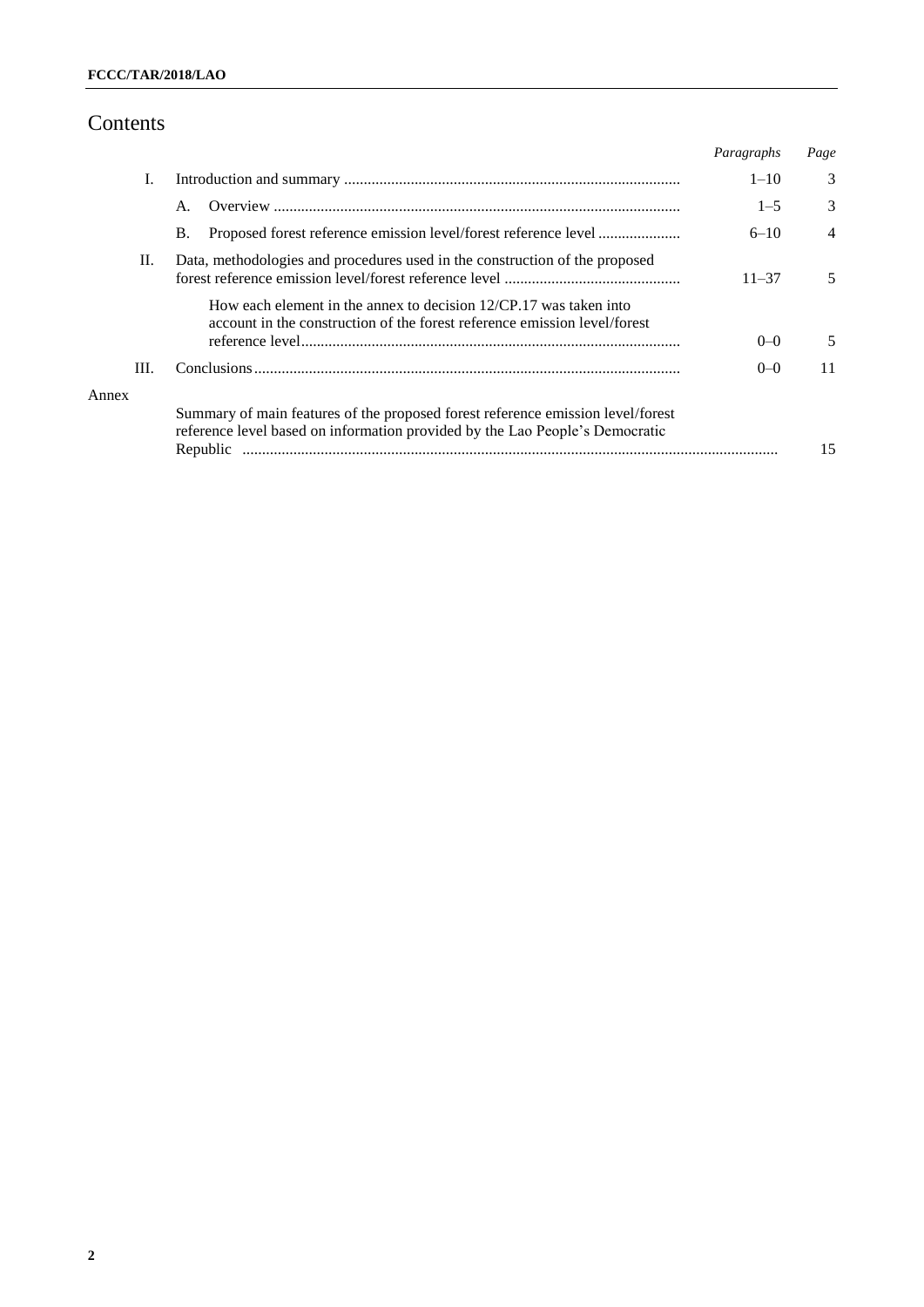# Contents

|       |                                                                                                                                                                             | Paragraphs | Page           |
|-------|-----------------------------------------------------------------------------------------------------------------------------------------------------------------------------|------------|----------------|
| I.    |                                                                                                                                                                             | $1 - 10$   | 3              |
|       | А.                                                                                                                                                                          | $1 - 5$    | 3              |
|       | Proposed forest reference emission level/forest reference level<br><b>B.</b>                                                                                                | $6 - 10$   | $\overline{4}$ |
| II.   | Data, methodologies and procedures used in the construction of the proposed                                                                                                 | $11 - 37$  | 5.             |
|       | How each element in the annex to decision $12/CP.17$ was taken into<br>account in the construction of the forest reference emission level/forest                            | $0-0$      | 5.             |
| III.  |                                                                                                                                                                             | $0-0$      | 11             |
| Annex | Summary of main features of the proposed forest reference emission level/forest<br>reference level based on information provided by the Lao People's Democratic<br>Republic |            | 15             |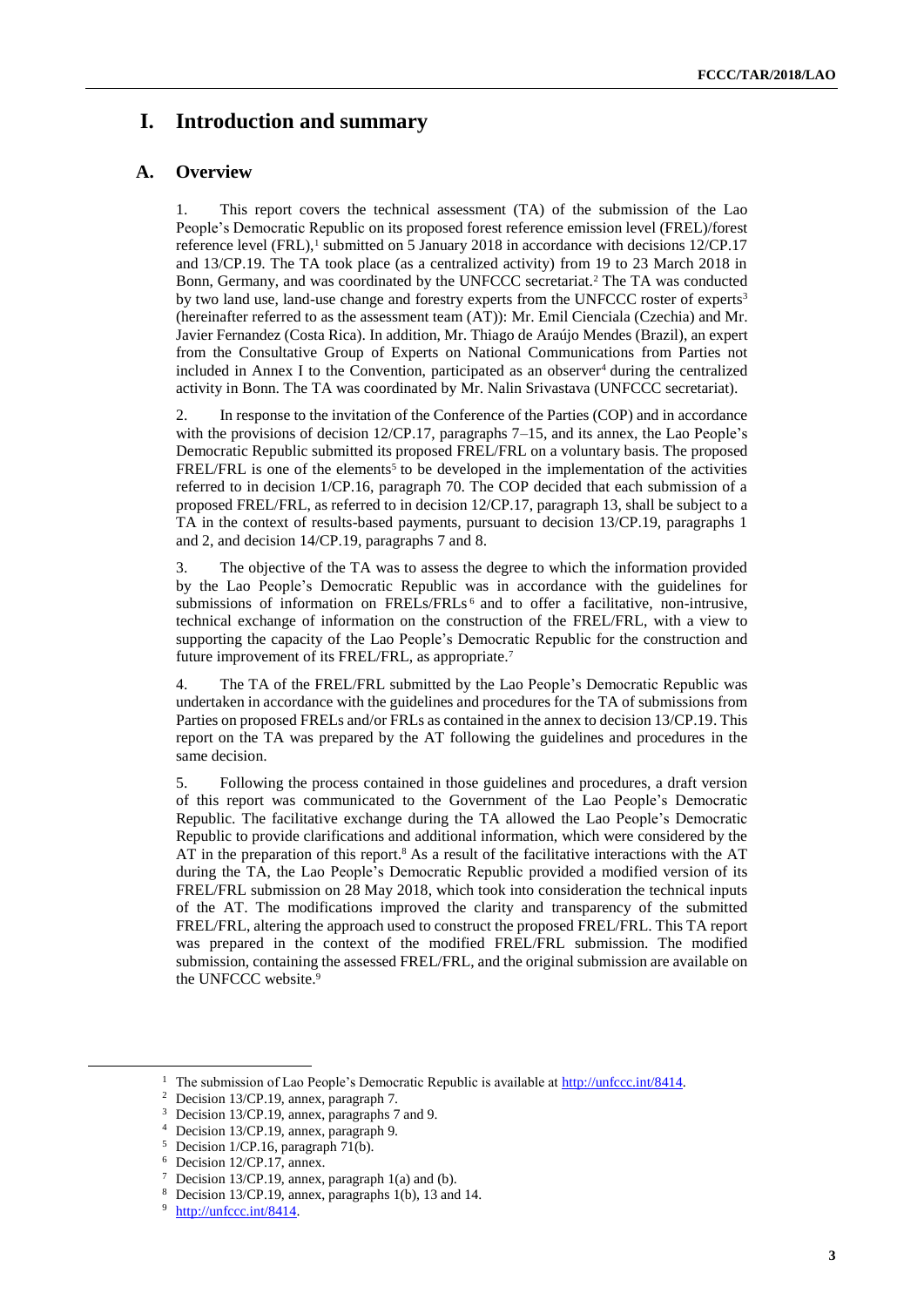## **I. Introduction and summary**

### **A. Overview**

1. This report covers the technical assessment (TA) of the submission of the Lao People's Democratic Republic on its proposed forest reference emission level (FREL)/forest reference level  $(FRL)$ ,<sup>1</sup> submitted on 5 January 2018 in accordance with decisions  $12/CP.17$ and 13/CP.19. The TA took place (as a centralized activity) from 19 to 23 March 2018 in Bonn, Germany, and was coordinated by the UNFCCC secretariat.<sup>2</sup> The TA was conducted by two land use, land-use change and forestry experts from the UNFCCC roster of experts<sup>3</sup> (hereinafter referred to as the assessment team (AT)): Mr. Emil Cienciala (Czechia) and Mr. Javier Fernandez (Costa Rica). In addition, Mr. Thiago de Araújo Mendes (Brazil), an expert from the Consultative Group of Experts on National Communications from Parties not included in Annex I to the Convention, participated as an observer<sup>4</sup> during the centralized activity in Bonn. The TA was coordinated by Mr. Nalin Srivastava (UNFCCC secretariat).

2. In response to the invitation of the Conference of the Parties (COP) and in accordance with the provisions of decision 12/CP.17, paragraphs 7–15, and its annex, the Lao People's Democratic Republic submitted its proposed FREL/FRL on a voluntary basis. The proposed  $FREL/FRL$  is one of the elements<sup>5</sup> to be developed in the implementation of the activities referred to in decision 1/CP.16, paragraph 70. The COP decided that each submission of a proposed FREL/FRL, as referred to in decision 12/CP.17, paragraph 13, shall be subject to a TA in the context of results-based payments, pursuant to decision 13/CP.19, paragraphs 1 and 2, and decision 14/CP.19, paragraphs 7 and 8.

3. The objective of the TA was to assess the degree to which the information provided by the Lao People's Democratic Republic was in accordance with the guidelines for submissions of information on FRELs/FRLs <sup>6</sup> and to offer a facilitative, non-intrusive, technical exchange of information on the construction of the FREL/FRL, with a view to supporting the capacity of the Lao People's Democratic Republic for the construction and future improvement of its FREL/FRL, as appropriate.<sup>7</sup>

4. The TA of the FREL/FRL submitted by the Lao People's Democratic Republic was undertaken in accordance with the guidelines and procedures for the TA of submissions from Parties on proposed FRELs and/or FRLs as contained in the annex to decision 13/CP.19. This report on the TA was prepared by the AT following the guidelines and procedures in the same decision.

5. Following the process contained in those guidelines and procedures, a draft version of this report was communicated to the Government of the Lao People's Democratic Republic. The facilitative exchange during the TA allowed the Lao People's Democratic Republic to provide clarifications and additional information, which were considered by the AT in the preparation of this report.<sup>8</sup> As a result of the facilitative interactions with the AT during the TA, the Lao People's Democratic Republic provided a modified version of its FREL/FRL submission on 28 May 2018, which took into consideration the technical inputs of the AT. The modifications improved the clarity and transparency of the submitted FREL/FRL, altering the approach used to construct the proposed FREL/FRL. This TA report was prepared in the context of the modified FREL/FRL submission. The modified submission, containing the assessed FREL/FRL, and the original submission are available on the UNFCCC website.<sup>9</sup>

1

<sup>&</sup>lt;sup>1</sup> The submission of Lao People's Democratic Republic is available at [http://unfccc.int/8414.](http://unfccc.int/8414)

<sup>2</sup> Decision 13/CP.19, annex, paragraph 7.

<sup>3</sup> Decision 13/CP.19, annex, paragraphs 7 and 9.

<sup>4</sup> Decision 13/CP.19, annex, paragraph 9.

 $5$  Decision 1/CP.16, paragraph 71(b).

<sup>6</sup> Decision 12/CP.17, annex.

<sup>&</sup>lt;sup>7</sup> Decision 13/CP.19, annex, paragraph 1(a) and (b).

<sup>8</sup> Decision 13/CP.19, annex, paragraphs 1(b), 13 and 14.

<sup>&</sup>lt;sup>9</sup> [http://unfccc.int/8414.](http://unfccc.int/8414)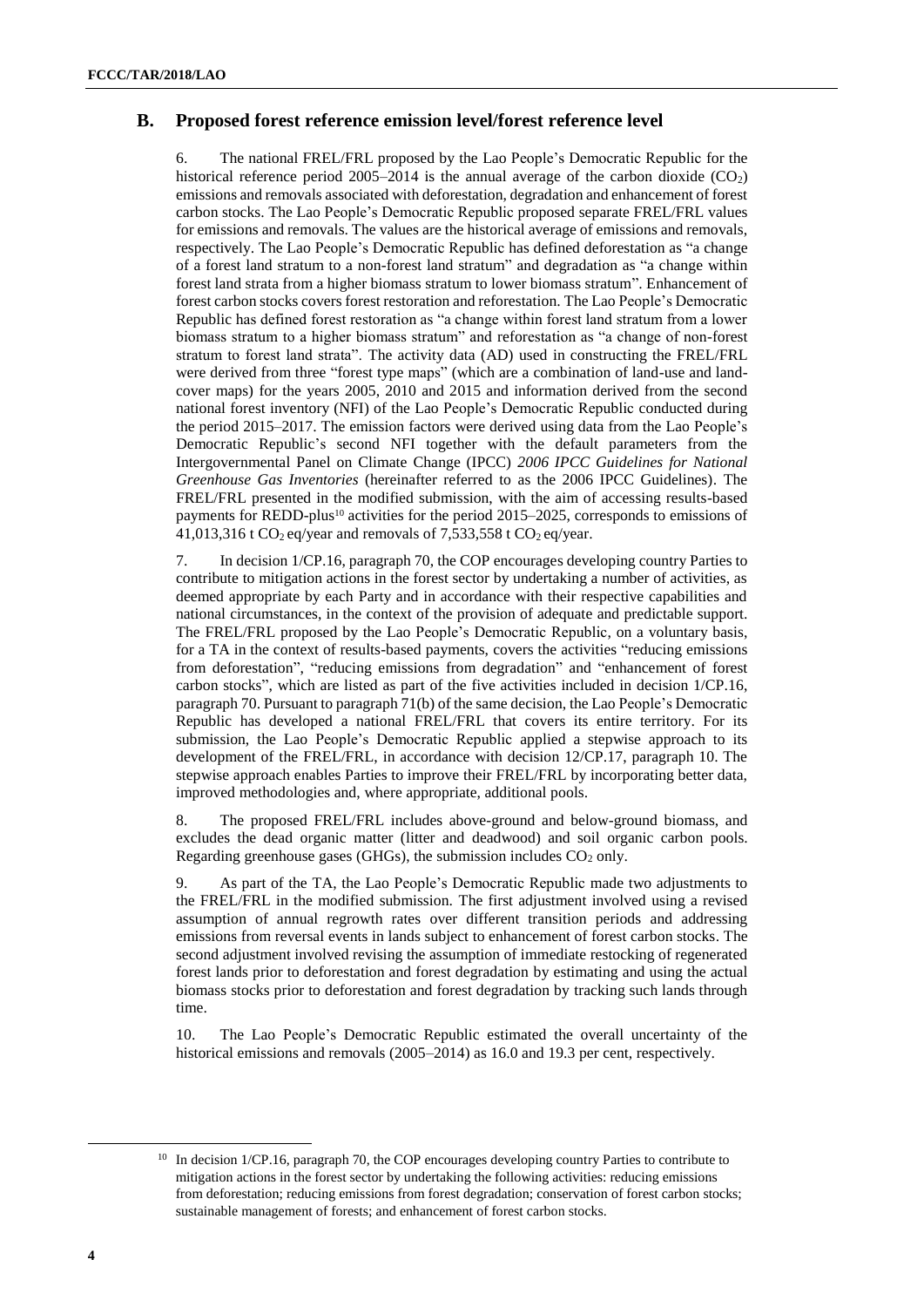### **B. Proposed forest reference emission level/forest reference level**

6. The national FREL/FRL proposed by the Lao People's Democratic Republic for the historical reference period 2005–2014 is the annual average of the carbon dioxide  $(CO_2)$ emissions and removals associated with deforestation, degradation and enhancement of forest carbon stocks. The Lao People's Democratic Republic proposed separate FREL/FRL values for emissions and removals. The values are the historical average of emissions and removals, respectively. The Lao People's Democratic Republic has defined deforestation as "a change of a forest land stratum to a non-forest land stratum" and degradation as "a change within forest land strata from a higher biomass stratum to lower biomass stratum". Enhancement of forest carbon stocks covers forest restoration and reforestation. The Lao People's Democratic Republic has defined forest restoration as "a change within forest land stratum from a lower biomass stratum to a higher biomass stratum" and reforestation as "a change of non-forest stratum to forest land strata". The activity data (AD) used in constructing the FREL/FRL were derived from three "forest type maps" (which are a combination of land-use and landcover maps) for the years 2005, 2010 and 2015 and information derived from the second national forest inventory (NFI) of the Lao People's Democratic Republic conducted during the period 2015–2017. The emission factors were derived using data from the Lao People's Democratic Republic's second NFI together with the default parameters from the Intergovernmental Panel on Climate Change (IPCC) *2006 IPCC Guidelines for National Greenhouse Gas Inventories* (hereinafter referred to as the 2006 IPCC Guidelines). The FREL/FRL presented in the modified submission, with the aim of accessing results-based payments for REDD-plus<sup>10</sup> activities for the period 2015–2025, corresponds to emissions of 41,013,316 t CO<sub>2</sub> eq/year and removals of 7,533,558 t CO<sub>2</sub> eq/year.

7. In decision 1/CP.16, paragraph 70, the COP encourages developing country Parties to contribute to mitigation actions in the forest sector by undertaking a number of activities, as deemed appropriate by each Party and in accordance with their respective capabilities and national circumstances, in the context of the provision of adequate and predictable support. The FREL/FRL proposed by the Lao People's Democratic Republic, on a voluntary basis, for a TA in the context of results-based payments, covers the activities "reducing emissions from deforestation", "reducing emissions from degradation" and "enhancement of forest carbon stocks", which are listed as part of the five activities included in decision 1/CP.16, paragraph 70. Pursuant to paragraph 71(b) of the same decision, the Lao People's Democratic Republic has developed a national FREL/FRL that covers its entire territory. For its submission, the Lao People's Democratic Republic applied a stepwise approach to its development of the FREL/FRL, in accordance with decision 12/CP.17, paragraph 10. The stepwise approach enables Parties to improve their FREL/FRL by incorporating better data, improved methodologies and, where appropriate, additional pools.

8. The proposed FREL/FRL includes above-ground and below-ground biomass, and excludes the dead organic matter (litter and deadwood) and soil organic carbon pools. Regarding greenhouse gases (GHGs), the submission includes  $CO<sub>2</sub>$  only.

9. As part of the TA, the Lao People's Democratic Republic made two adjustments to the FREL/FRL in the modified submission. The first adjustment involved using a revised assumption of annual regrowth rates over different transition periods and addressing emissions from reversal events in lands subject to enhancement of forest carbon stocks. The second adjustment involved revising the assumption of immediate restocking of regenerated forest lands prior to deforestation and forest degradation by estimating and using the actual biomass stocks prior to deforestation and forest degradation by tracking such lands through time.

10. The Lao People's Democratic Republic estimated the overall uncertainty of the historical emissions and removals (2005–2014) as 16.0 and 19.3 per cent, respectively.

<sup>&</sup>lt;sup>10</sup> In decision 1/CP.16, paragraph 70, the COP encourages developing country Parties to contribute to mitigation actions in the forest sector by undertaking the following activities: reducing emissions from deforestation; reducing emissions from forest degradation; conservation of forest carbon stocks; sustainable management of forests; and enhancement of forest carbon stocks.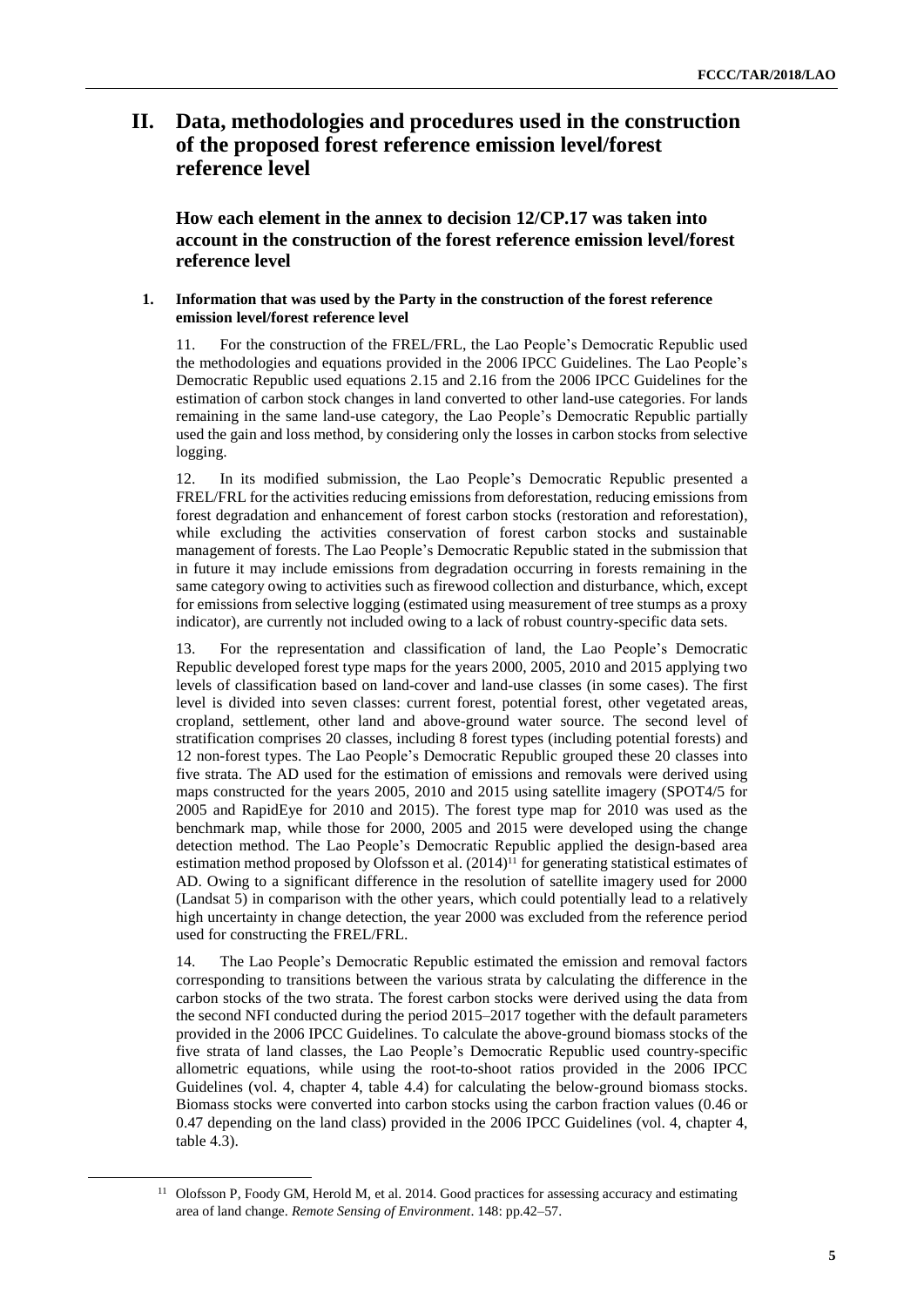## <span id="page-4-0"></span>**II. Data, methodologies and procedures used in the construction of the proposed forest reference emission level/forest reference level**

<span id="page-4-2"></span>**How each element in the annex to decision 12/CP.17 was taken into account in the construction of the forest reference emission level/forest reference level**

#### <span id="page-4-1"></span>**1. Information that was used by the Party in the construction of the forest reference emission level/forest reference level**

11. For the construction of the FREL/FRL, the Lao People's Democratic Republic used the methodologies and equations provided in the 2006 IPCC Guidelines. The Lao People's Democratic Republic used equations 2.15 and 2.16 from the 2006 IPCC Guidelines for the estimation of carbon stock changes in land converted to other land-use categories. For lands remaining in the same land-use category, the Lao People's Democratic Republic partially used the gain and loss method, by considering only the losses in carbon stocks from selective logging.

12. In its modified submission, the Lao People's Democratic Republic presented a FREL/FRL for the activities reducing emissions from deforestation, reducing emissions from forest degradation and enhancement of forest carbon stocks (restoration and reforestation), while excluding the activities conservation of forest carbon stocks and sustainable management of forests. The Lao People's Democratic Republic stated in the submission that in future it may include emissions from degradation occurring in forests remaining in the same category owing to activities such as firewood collection and disturbance, which, except for emissions from selective logging (estimated using measurement of tree stumps as a proxy indicator), are currently not included owing to a lack of robust country-specific data sets.

13. For the representation and classification of land, the Lao People's Democratic Republic developed forest type maps for the years 2000, 2005, 2010 and 2015 applying two levels of classification based on land-cover and land-use classes (in some cases). The first level is divided into seven classes: current forest, potential forest, other vegetated areas, cropland, settlement, other land and above-ground water source. The second level of stratification comprises 20 classes, including 8 forest types (including potential forests) and 12 non-forest types. The Lao People's Democratic Republic grouped these 20 classes into five strata. The AD used for the estimation of emissions and removals were derived using maps constructed for the years 2005, 2010 and 2015 using satellite imagery (SPOT4/5 for 2005 and RapidEye for 2010 and 2015). The forest type map for 2010 was used as the benchmark map, while those for 2000, 2005 and 2015 were developed using the change detection method. The Lao People's Democratic Republic applied the design-based area estimation method proposed by Olofsson et al.  $(2014)^{11}$  for generating statistical estimates of AD. Owing to a significant difference in the resolution of satellite imagery used for 2000 (Landsat 5) in comparison with the other years, which could potentially lead to a relatively high uncertainty in change detection, the year 2000 was excluded from the reference period used for constructing the FREL/FRL.

14. The Lao People's Democratic Republic estimated the emission and removal factors corresponding to transitions between the various strata by calculating the difference in the carbon stocks of the two strata. The forest carbon stocks were derived using the data from the second NFI conducted during the period 2015–2017 together with the default parameters provided in the 2006 IPCC Guidelines. To calculate the above-ground biomass stocks of the five strata of land classes, the Lao People's Democratic Republic used country-specific allometric equations, while using the root-to-shoot ratios provided in the 2006 IPCC Guidelines (vol. 4, chapter 4, table 4.4) for calculating the below-ground biomass stocks. Biomass stocks were converted into carbon stocks using the carbon fraction values (0.46 or 0.47 depending on the land class) provided in the 2006 IPCC Guidelines (vol. 4, chapter 4, table 4.3).

<sup>&</sup>lt;sup>11</sup> Olofsson P, Foody GM, Herold M, et al. 2014. Good practices for assessing accuracy and estimating area of land change. *Remote Sensing of Environment*. 148: pp.42–57.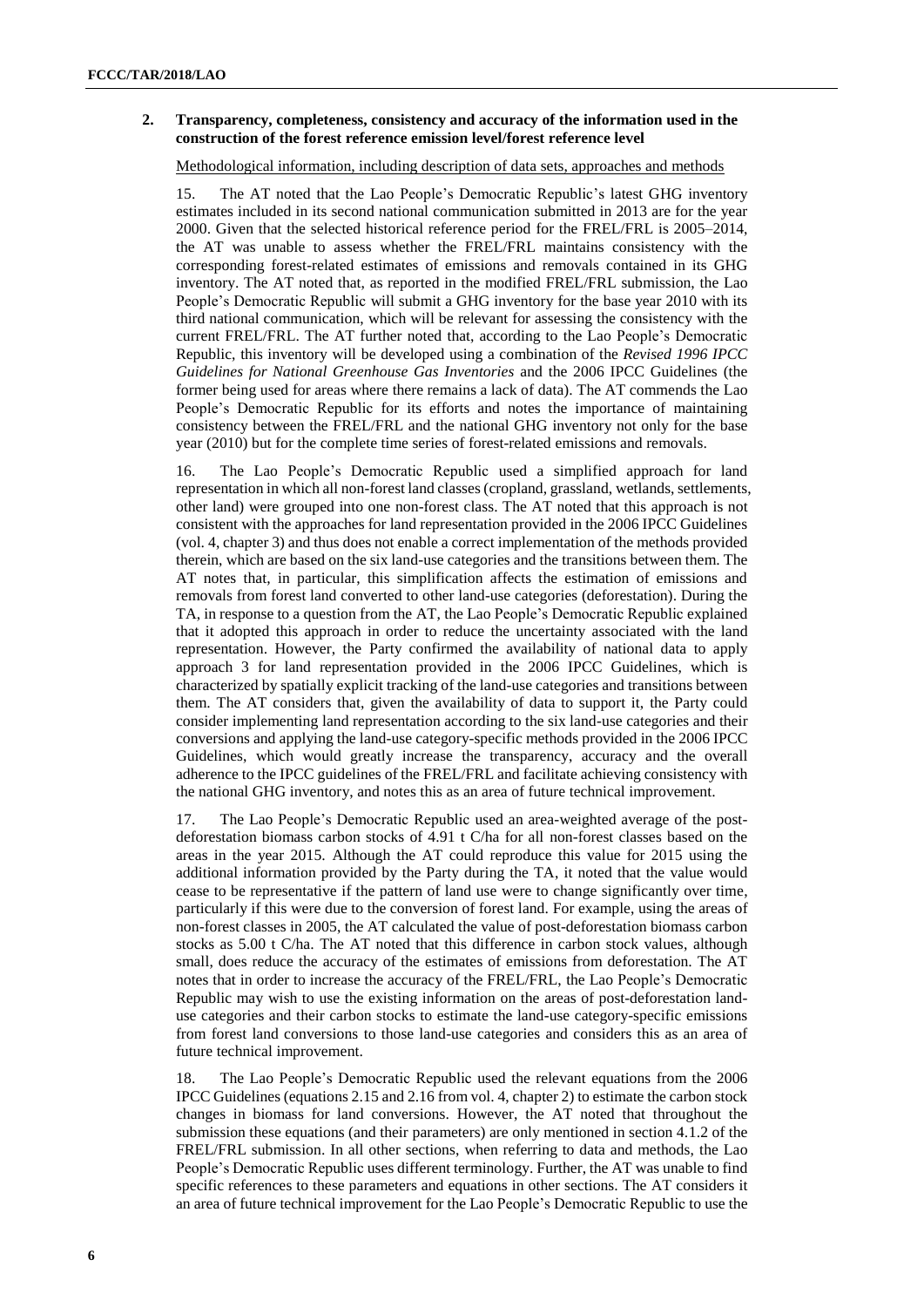#### **2. Transparency, completeness, consistency and accuracy of the information used in the construction of the forest reference emission level/forest reference level**

Methodological information, including description of data sets, approaches and methods

15. The AT noted that the Lao People's Democratic Republic's latest GHG inventory estimates included in its second national communication submitted in 2013 are for the year 2000. Given that the selected historical reference period for the FREL/FRL is 2005–2014, the AT was unable to assess whether the FREL/FRL maintains consistency with the corresponding forest-related estimates of emissions and removals contained in its GHG inventory. The AT noted that, as reported in the modified FREL/FRL submission, the Lao People's Democratic Republic will submit a GHG inventory for the base year 2010 with its third national communication, which will be relevant for assessing the consistency with the current FREL/FRL. The AT further noted that, according to the Lao People's Democratic Republic, this inventory will be developed using a combination of the *Revised 1996 IPCC Guidelines for National Greenhouse Gas Inventories* and the 2006 IPCC Guidelines (the former being used for areas where there remains a lack of data). The AT commends the Lao People's Democratic Republic for its efforts and notes the importance of maintaining consistency between the FREL/FRL and the national GHG inventory not only for the base year (2010) but for the complete time series of forest-related emissions and removals.

16. The Lao People's Democratic Republic used a simplified approach for land representation in which all non-forest land classes (cropland, grassland, wetlands, settlements, other land) were grouped into one non-forest class. The AT noted that this approach is not consistent with the approaches for land representation provided in the 2006 IPCC Guidelines (vol. 4, chapter 3) and thus does not enable a correct implementation of the methods provided therein, which are based on the six land-use categories and the transitions between them. The AT notes that, in particular, this simplification affects the estimation of emissions and removals from forest land converted to other land-use categories (deforestation). During the TA, in response to a question from the AT, the Lao People's Democratic Republic explained that it adopted this approach in order to reduce the uncertainty associated with the land representation. However, the Party confirmed the availability of national data to apply approach 3 for land representation provided in the 2006 IPCC Guidelines, which is characterized by spatially explicit tracking of the land-use categories and transitions between them. The AT considers that, given the availability of data to support it, the Party could consider implementing land representation according to the six land-use categories and their conversions and applying the land-use category-specific methods provided in the 2006 IPCC Guidelines, which would greatly increase the transparency, accuracy and the overall adherence to the IPCC guidelines of the FREL/FRL and facilitate achieving consistency with the national GHG inventory, and notes this as an area of future technical improvement.

17. The Lao People's Democratic Republic used an area-weighted average of the postdeforestation biomass carbon stocks of 4.91 t C/ha for all non-forest classes based on the areas in the year 2015. Although the AT could reproduce this value for 2015 using the additional information provided by the Party during the TA, it noted that the value would cease to be representative if the pattern of land use were to change significantly over time, particularly if this were due to the conversion of forest land. For example, using the areas of non-forest classes in 2005, the AT calculated the value of post-deforestation biomass carbon stocks as 5.00 t C/ha. The AT noted that this difference in carbon stock values, although small, does reduce the accuracy of the estimates of emissions from deforestation. The AT notes that in order to increase the accuracy of the FREL/FRL, the Lao People's Democratic Republic may wish to use the existing information on the areas of post-deforestation landuse categories and their carbon stocks to estimate the land-use category-specific emissions from forest land conversions to those land-use categories and considers this as an area of future technical improvement.

18. The Lao People's Democratic Republic used the relevant equations from the 2006 IPCC Guidelines (equations 2.15 and 2.16 from vol. 4, chapter 2) to estimate the carbon stock changes in biomass for land conversions. However, the AT noted that throughout the submission these equations (and their parameters) are only mentioned in section 4.1.2 of the FREL/FRL submission. In all other sections, when referring to data and methods, the Lao People's Democratic Republic uses different terminology. Further, the AT was unable to find specific references to these parameters and equations in other sections. The AT considers it an area of future technical improvement for the Lao People's Democratic Republic to use the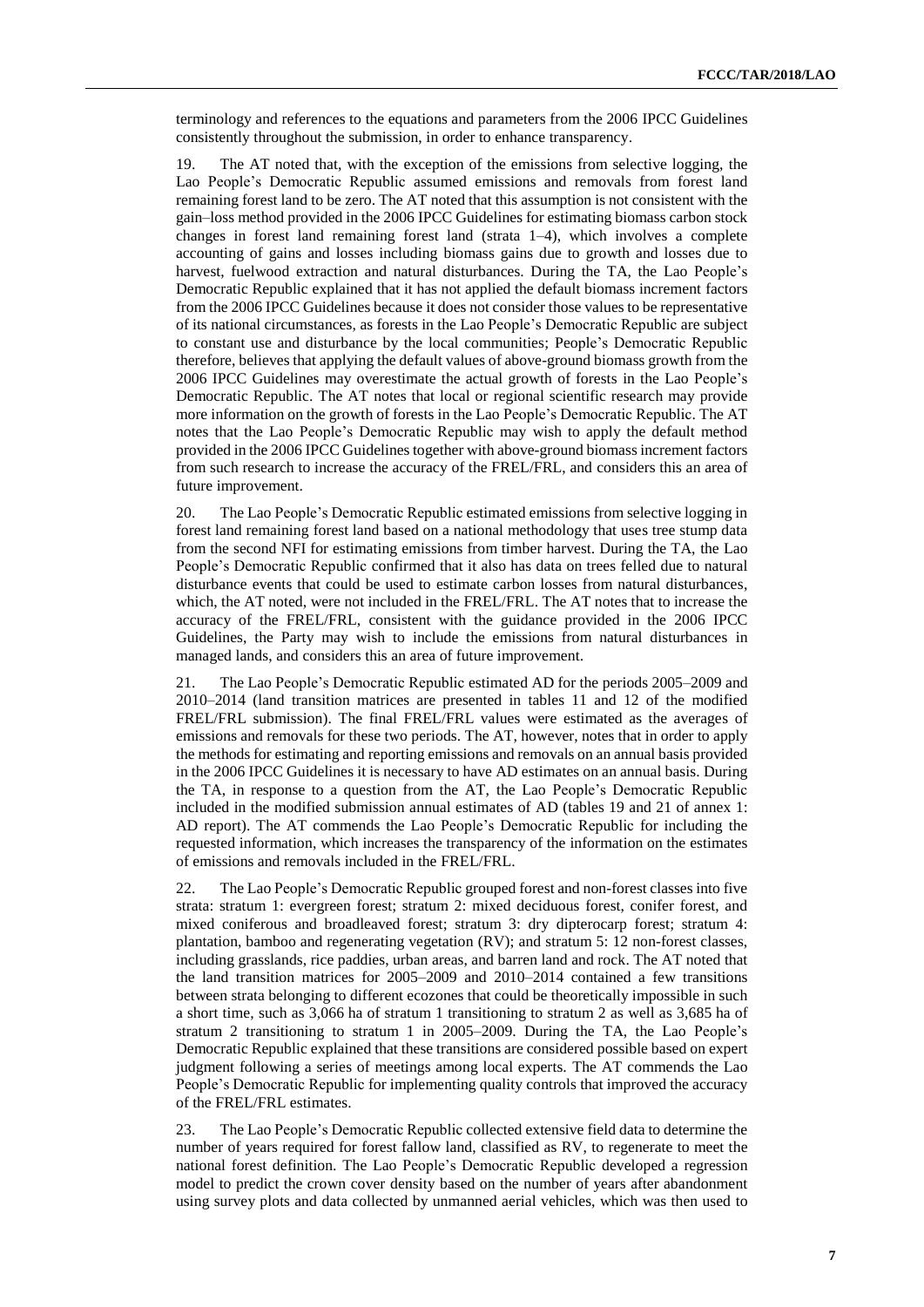terminology and references to the equations and parameters from the 2006 IPCC Guidelines consistently throughout the submission, in order to enhance transparency.

19. The AT noted that, with the exception of the emissions from selective logging, the Lao People's Democratic Republic assumed emissions and removals from forest land remaining forest land to be zero. The AT noted that this assumption is not consistent with the gain–loss method provided in the 2006 IPCC Guidelines for estimating biomass carbon stock changes in forest land remaining forest land (strata  $1-4$ ), which involves a complete accounting of gains and losses including biomass gains due to growth and losses due to harvest, fuelwood extraction and natural disturbances. During the TA, the Lao People's Democratic Republic explained that it has not applied the default biomass increment factors from the 2006 IPCC Guidelines because it does not consider those values to be representative of its national circumstances, as forests in the Lao People's Democratic Republic are subject to constant use and disturbance by the local communities; People's Democratic Republic therefore, believes that applying the default values of above-ground biomass growth from the 2006 IPCC Guidelines may overestimate the actual growth of forests in the Lao People's Democratic Republic. The AT notes that local or regional scientific research may provide more information on the growth of forests in the Lao People's Democratic Republic. The AT notes that the Lao People's Democratic Republic may wish to apply the default method provided in the 2006 IPCC Guidelines together with above-ground biomass increment factors from such research to increase the accuracy of the FREL/FRL, and considers this an area of future improvement.

20. The Lao People's Democratic Republic estimated emissions from selective logging in forest land remaining forest land based on a national methodology that uses tree stump data from the second NFI for estimating emissions from timber harvest. During the TA, the Lao People's Democratic Republic confirmed that it also has data on trees felled due to natural disturbance events that could be used to estimate carbon losses from natural disturbances, which, the AT noted, were not included in the FREL/FRL. The AT notes that to increase the accuracy of the FREL/FRL, consistent with the guidance provided in the 2006 IPCC Guidelines, the Party may wish to include the emissions from natural disturbances in managed lands, and considers this an area of future improvement.

21. The Lao People's Democratic Republic estimated AD for the periods 2005–2009 and 2010–2014 (land transition matrices are presented in tables 11 and 12 of the modified FREL/FRL submission). The final FREL/FRL values were estimated as the averages of emissions and removals for these two periods. The AT, however, notes that in order to apply the methods for estimating and reporting emissions and removals on an annual basis provided in the 2006 IPCC Guidelines it is necessary to have AD estimates on an annual basis. During the TA, in response to a question from the AT, the Lao People's Democratic Republic included in the modified submission annual estimates of AD (tables 19 and 21 of annex 1: AD report). The AT commends the Lao People's Democratic Republic for including the requested information, which increases the transparency of the information on the estimates of emissions and removals included in the FREL/FRL.

22. The Lao People's Democratic Republic grouped forest and non-forest classes into five strata: stratum 1: evergreen forest; stratum 2: mixed deciduous forest, conifer forest, and mixed coniferous and broadleaved forest; stratum 3: dry dipterocarp forest; stratum 4: plantation, bamboo and regenerating vegetation (RV); and stratum 5: 12 non-forest classes, including grasslands, rice paddies, urban areas, and barren land and rock. The AT noted that the land transition matrices for 2005–2009 and 2010–2014 contained a few transitions between strata belonging to different ecozones that could be theoretically impossible in such a short time, such as 3,066 ha of stratum 1 transitioning to stratum 2 as well as 3,685 ha of stratum 2 transitioning to stratum 1 in 2005–2009. During the TA, the Lao People's Democratic Republic explained that these transitions are considered possible based on expert judgment following a series of meetings among local experts. The AT commends the Lao People's Democratic Republic for implementing quality controls that improved the accuracy of the FREL/FRL estimates.

23. The Lao People's Democratic Republic collected extensive field data to determine the number of years required for forest fallow land, classified as RV, to regenerate to meet the national forest definition. The Lao People's Democratic Republic developed a regression model to predict the crown cover density based on the number of years after abandonment using survey plots and data collected by unmanned aerial vehicles, which was then used to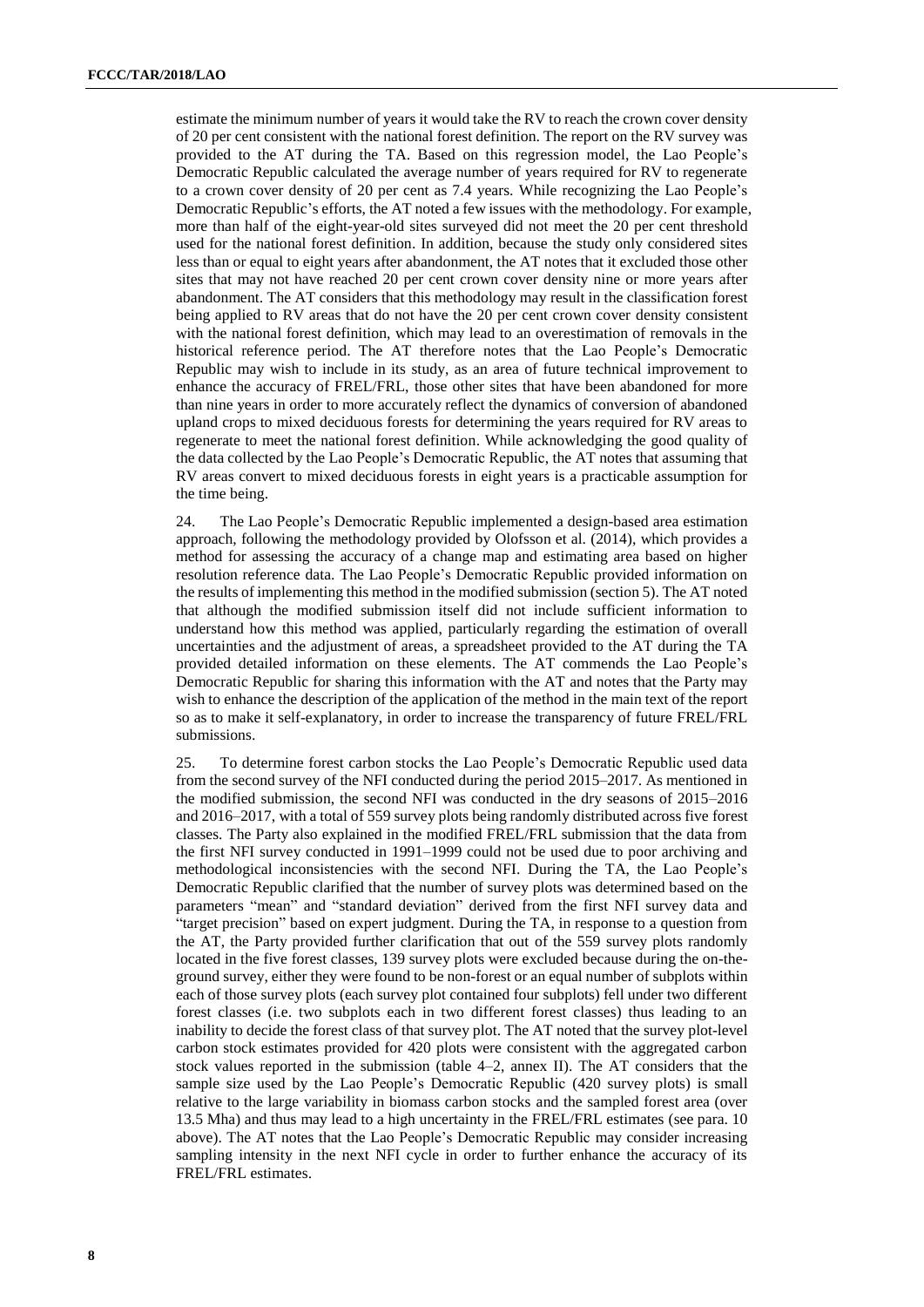estimate the minimum number of years it would take the RV to reach the crown cover density of 20 per cent consistent with the national forest definition. The report on the RV survey was provided to the AT during the TA. Based on this regression model, the Lao People's Democratic Republic calculated the average number of years required for RV to regenerate to a crown cover density of 20 per cent as 7.4 years. While recognizing the Lao People's Democratic Republic's efforts, the AT noted a few issues with the methodology. For example, more than half of the eight-year-old sites surveyed did not meet the 20 per cent threshold used for the national forest definition. In addition, because the study only considered sites less than or equal to eight years after abandonment, the AT notes that it excluded those other sites that may not have reached 20 per cent crown cover density nine or more years after abandonment. The AT considers that this methodology may result in the classification forest being applied to RV areas that do not have the 20 per cent crown cover density consistent with the national forest definition, which may lead to an overestimation of removals in the historical reference period. The AT therefore notes that the Lao People's Democratic Republic may wish to include in its study, as an area of future technical improvement to enhance the accuracy of FREL/FRL, those other sites that have been abandoned for more than nine years in order to more accurately reflect the dynamics of conversion of abandoned upland crops to mixed deciduous forests for determining the years required for RV areas to regenerate to meet the national forest definition. While acknowledging the good quality of the data collected by the Lao People's Democratic Republic, the AT notes that assuming that RV areas convert to mixed deciduous forests in eight years is a practicable assumption for the time being.

24. The Lao People's Democratic Republic implemented a design-based area estimation approach, following the methodology provided by Olofsson et al. (2014), which provides a method for assessing the accuracy of a change map and estimating area based on higher resolution reference data. The Lao People's Democratic Republic provided information on the results of implementing this method in the modified submission (section 5). The AT noted that although the modified submission itself did not include sufficient information to understand how this method was applied, particularly regarding the estimation of overall uncertainties and the adjustment of areas, a spreadsheet provided to the AT during the TA provided detailed information on these elements. The AT commends the Lao People's Democratic Republic for sharing this information with the AT and notes that the Party may wish to enhance the description of the application of the method in the main text of the report so as to make it self-explanatory, in order to increase the transparency of future FREL/FRL submissions.

25. To determine forest carbon stocks the Lao People's Democratic Republic used data from the second survey of the NFI conducted during the period 2015–2017. As mentioned in the modified submission, the second NFI was conducted in the dry seasons of 2015–2016 and 2016–2017, with a total of 559 survey plots being randomly distributed across five forest classes. The Party also explained in the modified FREL/FRL submission that the data from the first NFI survey conducted in 1991–1999 could not be used due to poor archiving and methodological inconsistencies with the second NFI. During the TA, the Lao People's Democratic Republic clarified that the number of survey plots was determined based on the parameters "mean" and "standard deviation" derived from the first NFI survey data and "target precision" based on expert judgment. During the TA, in response to a question from the AT, the Party provided further clarification that out of the 559 survey plots randomly located in the five forest classes, 139 survey plots were excluded because during the on-theground survey, either they were found to be non-forest or an equal number of subplots within each of those survey plots (each survey plot contained four subplots) fell under two different forest classes (i.e. two subplots each in two different forest classes) thus leading to an inability to decide the forest class of that survey plot. The AT noted that the survey plot-level carbon stock estimates provided for 420 plots were consistent with the aggregated carbon stock values reported in the submission (table 4–2, annex II). The AT considers that the sample size used by the Lao People's Democratic Republic (420 survey plots) is small relative to the large variability in biomass carbon stocks and the sampled forest area (over 13.5 Mha) and thus may lead to a high uncertainty in the FREL/FRL estimates (see para. 10 above). The AT notes that the Lao People's Democratic Republic may consider increasing sampling intensity in the next NFI cycle in order to further enhance the accuracy of its FREL/FRL estimates.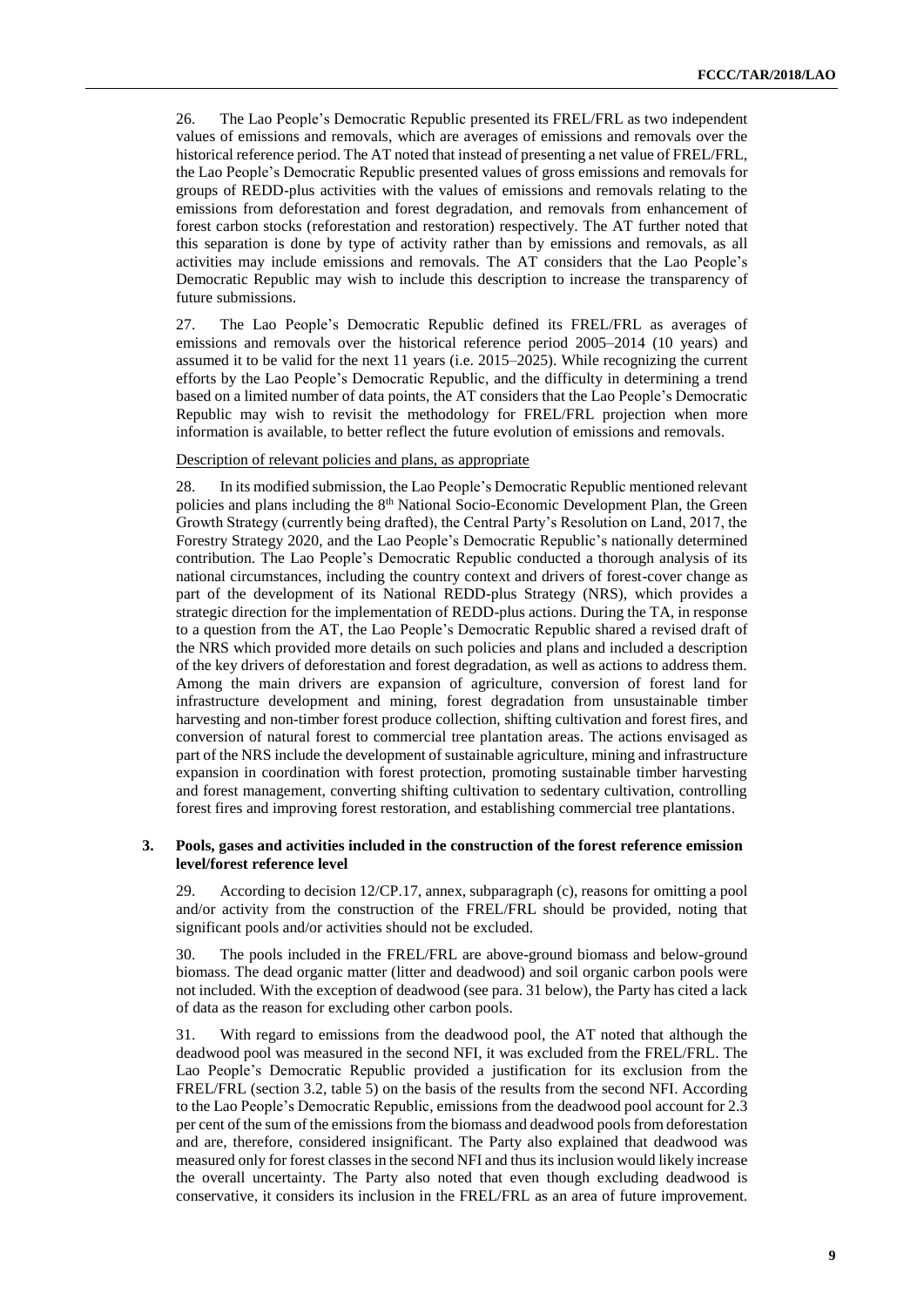26. The Lao People's Democratic Republic presented its FREL/FRL as two independent values of emissions and removals, which are averages of emissions and removals over the historical reference period. The AT noted that instead of presenting a net value of FREL/FRL, the Lao People's Democratic Republic presented values of gross emissions and removals for groups of REDD-plus activities with the values of emissions and removals relating to the emissions from deforestation and forest degradation, and removals from enhancement of forest carbon stocks (reforestation and restoration) respectively. The AT further noted that this separation is done by type of activity rather than by emissions and removals, as all activities may include emissions and removals. The AT considers that the Lao People's Democratic Republic may wish to include this description to increase the transparency of future submissions.

27. The Lao People's Democratic Republic defined its FREL/FRL as averages of emissions and removals over the historical reference period 2005–2014 (10 years) and assumed it to be valid for the next 11 years (i.e. 2015–2025). While recognizing the current efforts by the Lao People's Democratic Republic, and the difficulty in determining a trend based on a limited number of data points, the AT considers that the Lao People's Democratic Republic may wish to revisit the methodology for FREL/FRL projection when more information is available, to better reflect the future evolution of emissions and removals.

#### Description of relevant policies and plans, as appropriate

28. In its modified submission, the Lao People's Democratic Republic mentioned relevant policies and plans including the 8th National Socio-Economic Development Plan, the Green Growth Strategy (currently being drafted), the Central Party's Resolution on Land, 2017, the Forestry Strategy 2020, and the Lao People's Democratic Republic's nationally determined contribution. The Lao People's Democratic Republic conducted a thorough analysis of its national circumstances, including the country context and drivers of forest-cover change as part of the development of its National REDD-plus Strategy (NRS), which provides a strategic direction for the implementation of REDD-plus actions. During the TA, in response to a question from the AT, the Lao People's Democratic Republic shared a revised draft of the NRS which provided more details on such policies and plans and included a description of the key drivers of deforestation and forest degradation, as well as actions to address them. Among the main drivers are expansion of agriculture, conversion of forest land for infrastructure development and mining, forest degradation from unsustainable timber harvesting and non-timber forest produce collection, shifting cultivation and forest fires, and conversion of natural forest to commercial tree plantation areas. The actions envisaged as part of the NRS include the development of sustainable agriculture, mining and infrastructure expansion in coordination with forest protection, promoting sustainable timber harvesting and forest management, converting shifting cultivation to sedentary cultivation, controlling forest fires and improving forest restoration, and establishing commercial tree plantations.

#### **3. Pools, gases and activities included in the construction of the forest reference emission level/forest reference level**

29. According to decision 12/CP.17, annex, subparagraph (c), reasons for omitting a pool and/or activity from the construction of the FREL/FRL should be provided, noting that significant pools and/or activities should not be excluded.

30. The pools included in the FREL/FRL are above-ground biomass and below-ground biomass. The dead organic matter (litter and deadwood) and soil organic carbon pools were not included. With the exception of deadwood (see para. 31 below), the Party has cited a lack of data as the reason for excluding other carbon pools.

31. With regard to emissions from the deadwood pool, the AT noted that although the deadwood pool was measured in the second NFI, it was excluded from the FREL/FRL. The Lao People's Democratic Republic provided a justification for its exclusion from the FREL/FRL (section 3.2, table 5) on the basis of the results from the second NFI. According to the Lao People's Democratic Republic, emissions from the deadwood pool account for 2.3 per cent of the sum of the emissions from the biomass and deadwood pools from deforestation and are, therefore, considered insignificant. The Party also explained that deadwood was measured only for forest classesin the second NFI and thus its inclusion would likely increase the overall uncertainty. The Party also noted that even though excluding deadwood is conservative, it considers its inclusion in the FREL/FRL as an area of future improvement.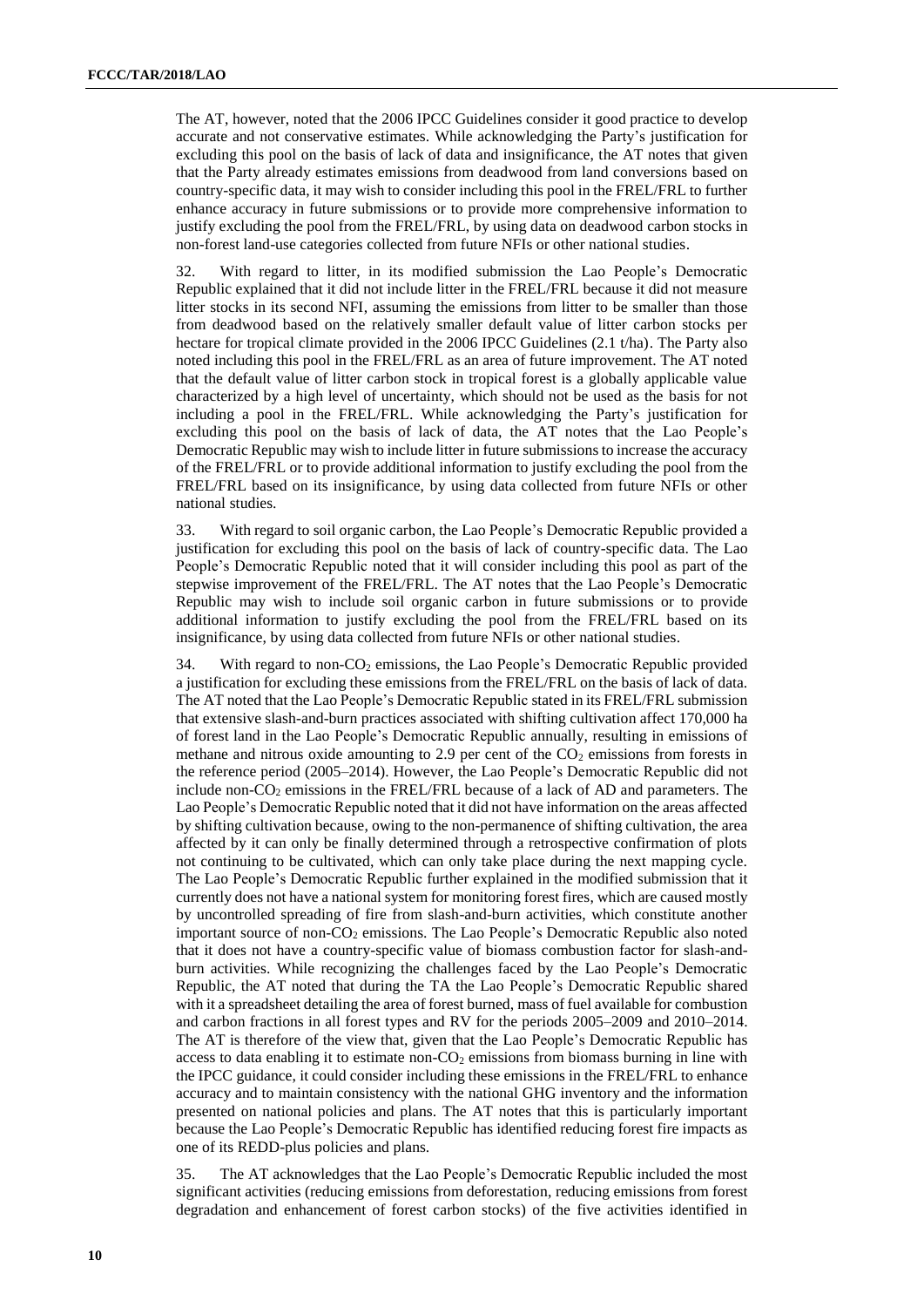The AT, however, noted that the 2006 IPCC Guidelines consider it good practice to develop accurate and not conservative estimates. While acknowledging the Party's justification for excluding this pool on the basis of lack of data and insignificance, the AT notes that given that the Party already estimates emissions from deadwood from land conversions based on country-specific data, it may wish to consider including this pool in the FREL/FRL to further enhance accuracy in future submissions or to provide more comprehensive information to justify excluding the pool from the FREL/FRL, by using data on deadwood carbon stocks in non-forest land-use categories collected from future NFIs or other national studies.

32. With regard to litter, in its modified submission the Lao People's Democratic Republic explained that it did not include litter in the FREL/FRL because it did not measure litter stocks in its second NFI, assuming the emissions from litter to be smaller than those from deadwood based on the relatively smaller default value of litter carbon stocks per hectare for tropical climate provided in the 2006 IPCC Guidelines (2.1 t/ha). The Party also noted including this pool in the FREL/FRL as an area of future improvement. The AT noted that the default value of litter carbon stock in tropical forest is a globally applicable value characterized by a high level of uncertainty, which should not be used as the basis for not including a pool in the FREL/FRL. While acknowledging the Party's justification for excluding this pool on the basis of lack of data, the AT notes that the Lao People's Democratic Republic may wish to include litter in future submissions to increase the accuracy of the FREL/FRL or to provide additional information to justify excluding the pool from the FREL/FRL based on its insignificance, by using data collected from future NFIs or other national studies.

33. With regard to soil organic carbon, the Lao People's Democratic Republic provided a justification for excluding this pool on the basis of lack of country-specific data. The Lao People's Democratic Republic noted that it will consider including this pool as part of the stepwise improvement of the FREL/FRL. The AT notes that the Lao People's Democratic Republic may wish to include soil organic carbon in future submissions or to provide additional information to justify excluding the pool from the FREL/FRL based on its insignificance, by using data collected from future NFIs or other national studies.

34. With regard to non- $CO<sub>2</sub>$  emissions, the Lao People's Democratic Republic provided a justification for excluding these emissions from the FREL/FRL on the basis of lack of data. The AT noted that the Lao People's Democratic Republic stated in its FREL/FRL submission that extensive slash-and-burn practices associated with shifting cultivation affect 170,000 ha of forest land in the Lao People's Democratic Republic annually, resulting in emissions of methane and nitrous oxide amounting to 2.9 per cent of the  $CO<sub>2</sub>$  emissions from forests in the reference period (2005–2014). However, the Lao People's Democratic Republic did not include non- $CO<sub>2</sub>$  emissions in the FREL/FRL because of a lack of AD and parameters. The Lao People's Democratic Republic noted that it did not have information on the areas affected by shifting cultivation because, owing to the non-permanence of shifting cultivation, the area affected by it can only be finally determined through a retrospective confirmation of plots not continuing to be cultivated, which can only take place during the next mapping cycle. The Lao People's Democratic Republic further explained in the modified submission that it currently does not have a national system for monitoring forest fires, which are caused mostly by uncontrolled spreading of fire from slash-and-burn activities, which constitute another important source of non- $CO<sub>2</sub>$  emissions. The Lao People's Democratic Republic also noted that it does not have a country-specific value of biomass combustion factor for slash-andburn activities. While recognizing the challenges faced by the Lao People's Democratic Republic, the AT noted that during the TA the Lao People's Democratic Republic shared with it a spreadsheet detailing the area of forest burned, mass of fuel available for combustion and carbon fractions in all forest types and RV for the periods 2005–2009 and 2010–2014. The AT is therefore of the view that, given that the Lao People's Democratic Republic has access to data enabling it to estimate non- $CO<sub>2</sub>$  emissions from biomass burning in line with the IPCC guidance, it could consider including these emissions in the FREL/FRL to enhance accuracy and to maintain consistency with the national GHG inventory and the information presented on national policies and plans. The AT notes that this is particularly important because the Lao People's Democratic Republic has identified reducing forest fire impacts as one of its REDD-plus policies and plans.

35. The AT acknowledges that the Lao People's Democratic Republic included the most significant activities (reducing emissions from deforestation, reducing emissions from forest degradation and enhancement of forest carbon stocks) of the five activities identified in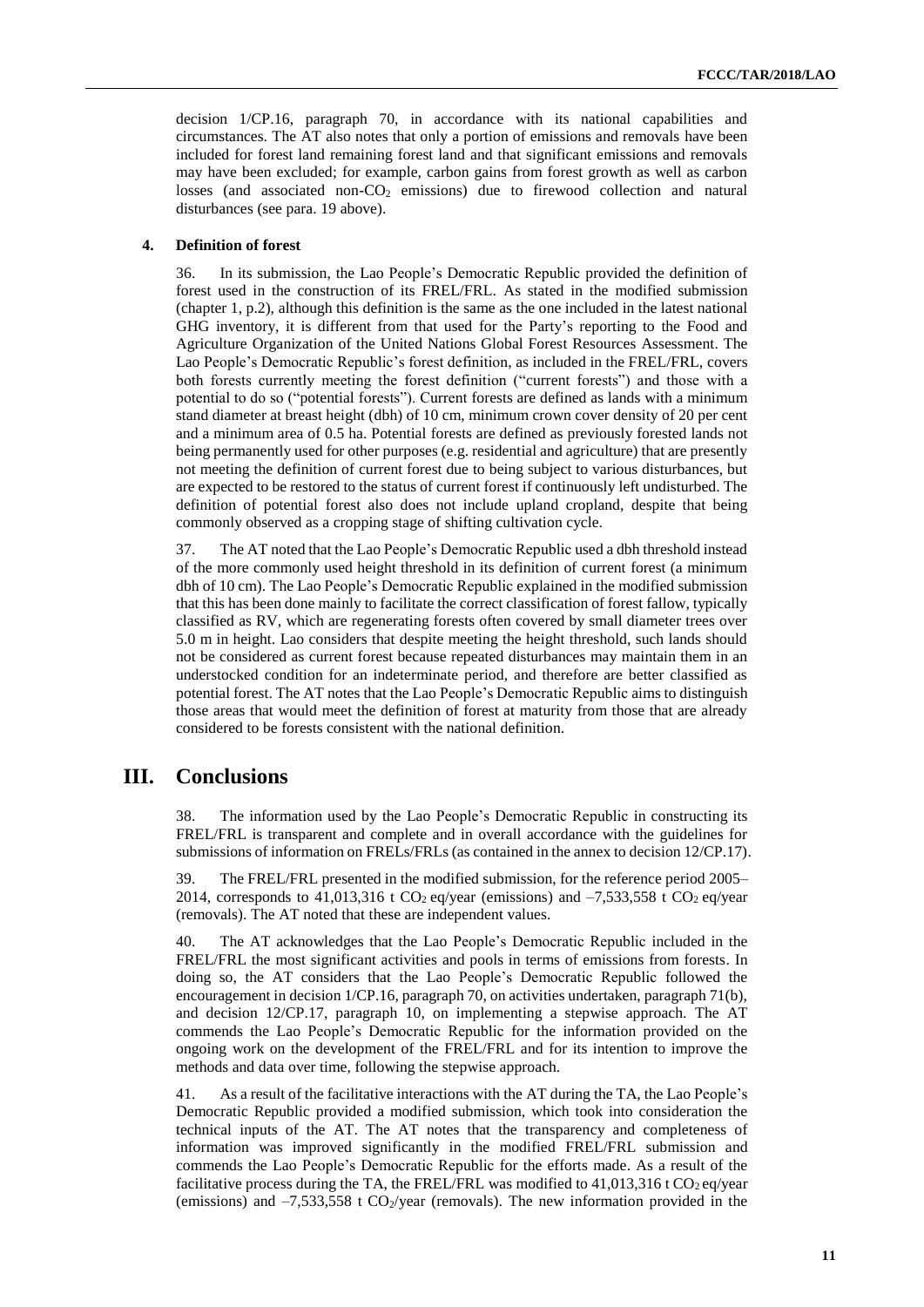decision 1/CP.16, paragraph 70, in accordance with its national capabilities and circumstances. The AT also notes that only a portion of emissions and removals have been included for forest land remaining forest land and that significant emissions and removals may have been excluded; for example, carbon gains from forest growth as well as carbon losses (and associated non- $CO<sub>2</sub>$  emissions) due to firewood collection and natural disturbances (see para. 19 above).

#### **4. Definition of forest**

36. In its submission, the Lao People's Democratic Republic provided the definition of forest used in the construction of its FREL/FRL. As stated in the modified submission (chapter 1, p.2), although this definition is the same as the one included in the latest national GHG inventory, it is different from that used for the Party's reporting to the Food and Agriculture Organization of the United Nations Global Forest Resources Assessment. The Lao People's Democratic Republic's forest definition, as included in the FREL/FRL, covers both forests currently meeting the forest definition ("current forests") and those with a potential to do so ("potential forests"). Current forests are defined as lands with a minimum stand diameter at breast height (dbh) of 10 cm, minimum crown cover density of 20 per cent and a minimum area of 0.5 ha. Potential forests are defined as previously forested lands not being permanently used for other purposes (e.g. residential and agriculture) that are presently not meeting the definition of current forest due to being subject to various disturbances, but are expected to be restored to the status of current forest if continuously left undisturbed. The definition of potential forest also does not include upland cropland, despite that being commonly observed as a cropping stage of shifting cultivation cycle.

<span id="page-10-0"></span>37. The AT noted that the Lao People's Democratic Republic used a dbh threshold instead of the more commonly used height threshold in its definition of current forest (a minimum dbh of 10 cm). The Lao People's Democratic Republic explained in the modified submission that this has been done mainly to facilitate the correct classification of forest fallow, typically classified as RV, which are regenerating forests often covered by small diameter trees over 5.0 m in height. Lao considers that despite meeting the height threshold, such lands should not be considered as current forest because repeated disturbances may maintain them in an understocked condition for an indeterminate period, and therefore are better classified as potential forest. The AT notes that the Lao People's Democratic Republic aims to distinguish those areas that would meet the definition of forest at maturity from those that are already considered to be forests consistent with the national definition.

### <span id="page-10-2"></span><span id="page-10-1"></span>**III. Conclusions**

38. The information used by the Lao People's Democratic Republic in constructing its FREL/FRL is transparent and complete and in overall accordance with the guidelines for submissions of information on FRELs/FRLs (as contained in the annex to decision 12/CP.17).

39. The FREL/FRL presented in the modified submission, for the reference period 2005– 2014, corresponds to 41,013,316 t CO<sub>2</sub> eq/year (emissions) and  $-7,533,558$  t CO<sub>2</sub> eq/year (removals). The AT noted that these are independent values.

40. The AT acknowledges that the Lao People's Democratic Republic included in the FREL/FRL the most significant activities and pools in terms of emissions from forests. In doing so, the AT considers that the Lao People's Democratic Republic followed the encouragement in decision 1/CP.16, paragraph 70, on activities undertaken, paragraph 71(b), and decision 12/CP.17, paragraph 10, on implementing a stepwise approach. The AT commends the Lao People's Democratic Republic for the information provided on the ongoing work on the development of the FREL/FRL and for its intention to improve the methods and data over time, following the stepwise approach.

41. As a result of the facilitative interactions with the AT during the TA, the Lao People's Democratic Republic provided a modified submission, which took into consideration the technical inputs of the AT. The AT notes that the transparency and completeness of information was improved significantly in the modified FREL/FRL submission and commends the Lao People's Democratic Republic for the efforts made. As a result of the facilitative process during the TA, the FREL/FRL was modified to  $41,013,316$  t CO<sub>2</sub> eq/year (emissions) and  $-7,533,558$  t CO<sub>2</sub>/year (removals). The new information provided in the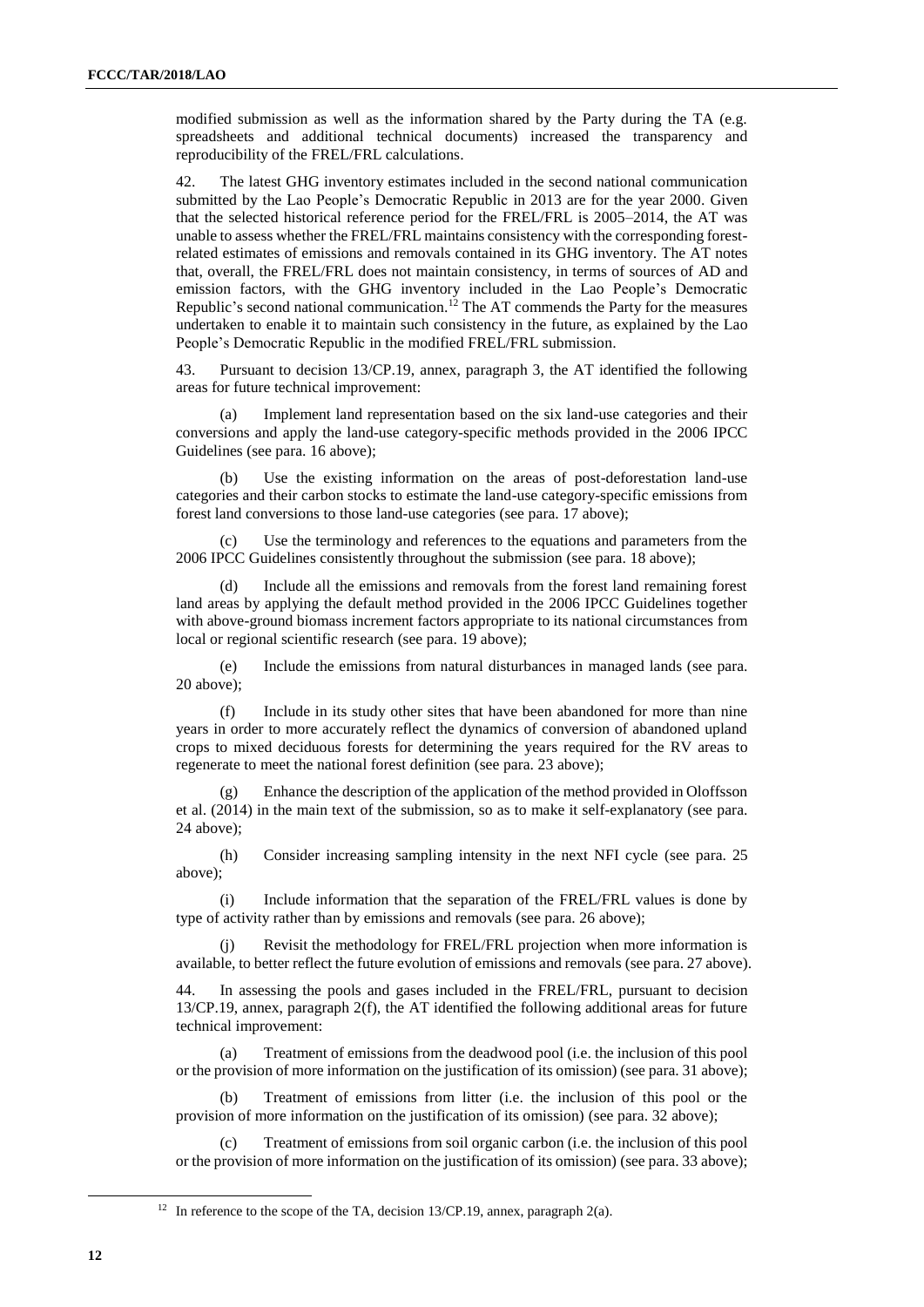modified submission as well as the information shared by the Party during the TA (e.g. spreadsheets and additional technical documents) increased the transparency and reproducibility of the FREL/FRL calculations.

42. The latest GHG inventory estimates included in the second national communication submitted by the Lao People's Democratic Republic in 2013 are for the year 2000. Given that the selected historical reference period for the FREL/FRL is 2005–2014, the AT was unable to assess whether the FREL/FRL maintains consistency with the corresponding forestrelated estimates of emissions and removals contained in its GHG inventory. The AT notes that, overall, the FREL/FRL does not maintain consistency, in terms of sources of AD and emission factors, with the GHG inventory included in the Lao People's Democratic Republic's second national communication.<sup>12</sup> The AT commends the Party for the measures undertaken to enable it to maintain such consistency in the future, as explained by the Lao People's Democratic Republic in the modified FREL/FRL submission.

43. Pursuant to decision 13/CP.19, annex, paragraph 3, the AT identified the following areas for future technical improvement:

(a) Implement land representation based on the six land-use categories and their conversions and apply the land-use category-specific methods provided in the 2006 IPCC Guidelines (see para. 16 above);

(b) Use the existing information on the areas of post-deforestation land-use categories and their carbon stocks to estimate the land-use category-specific emissions from forest land conversions to those land-use categories (see para. 17 above);

(c) Use the terminology and references to the equations and parameters from the 2006 IPCC Guidelines consistently throughout the submission (see para. 18 above);

(d) Include all the emissions and removals from the forest land remaining forest land areas by applying the default method provided in the 2006 IPCC Guidelines together with above-ground biomass increment factors appropriate to its national circumstances from local or regional scientific research (see para. 19 above);

(e) Include the emissions from natural disturbances in managed lands (see para. 20 above);

(f) Include in its study other sites that have been abandoned for more than nine years in order to more accurately reflect the dynamics of conversion of abandoned upland crops to mixed deciduous forests for determining the years required for the RV areas to regenerate to meet the national forest definition (see para. 23 above);

(g) Enhance the description of the application of the method provided in Oloffsson et al. (2014) in the main text of the submission, so as to make it self-explanatory (see para. 24 above);

(h) Consider increasing sampling intensity in the next NFI cycle (see para. 25 above);

(i) Include information that the separation of the FREL/FRL values is done by type of activity rather than by emissions and removals (see para. 26 above);

(j) Revisit the methodology for FREL/FRL projection when more information is available, to better reflect the future evolution of emissions and removals (see para. 27 above).

44. In assessing the pools and gases included in the FREL/FRL, pursuant to decision 13/CP.19, annex, paragraph 2(f), the AT identified the following additional areas for future technical improvement:

(a) Treatment of emissions from the deadwood pool (i.e. the inclusion of this pool or the provision of more information on the justification of its omission) (see para. 31 above);

(b) Treatment of emissions from litter (i.e. the inclusion of this pool or the provision of more information on the justification of its omission) (see para. 32 above);

(c) Treatment of emissions from soil organic carbon (i.e. the inclusion of this pool or the provision of more information on the justification of its omission) (see para. 33 above);

<sup>&</sup>lt;sup>12</sup> In reference to the scope of the TA, decision 13/CP.19, annex, paragraph 2(a).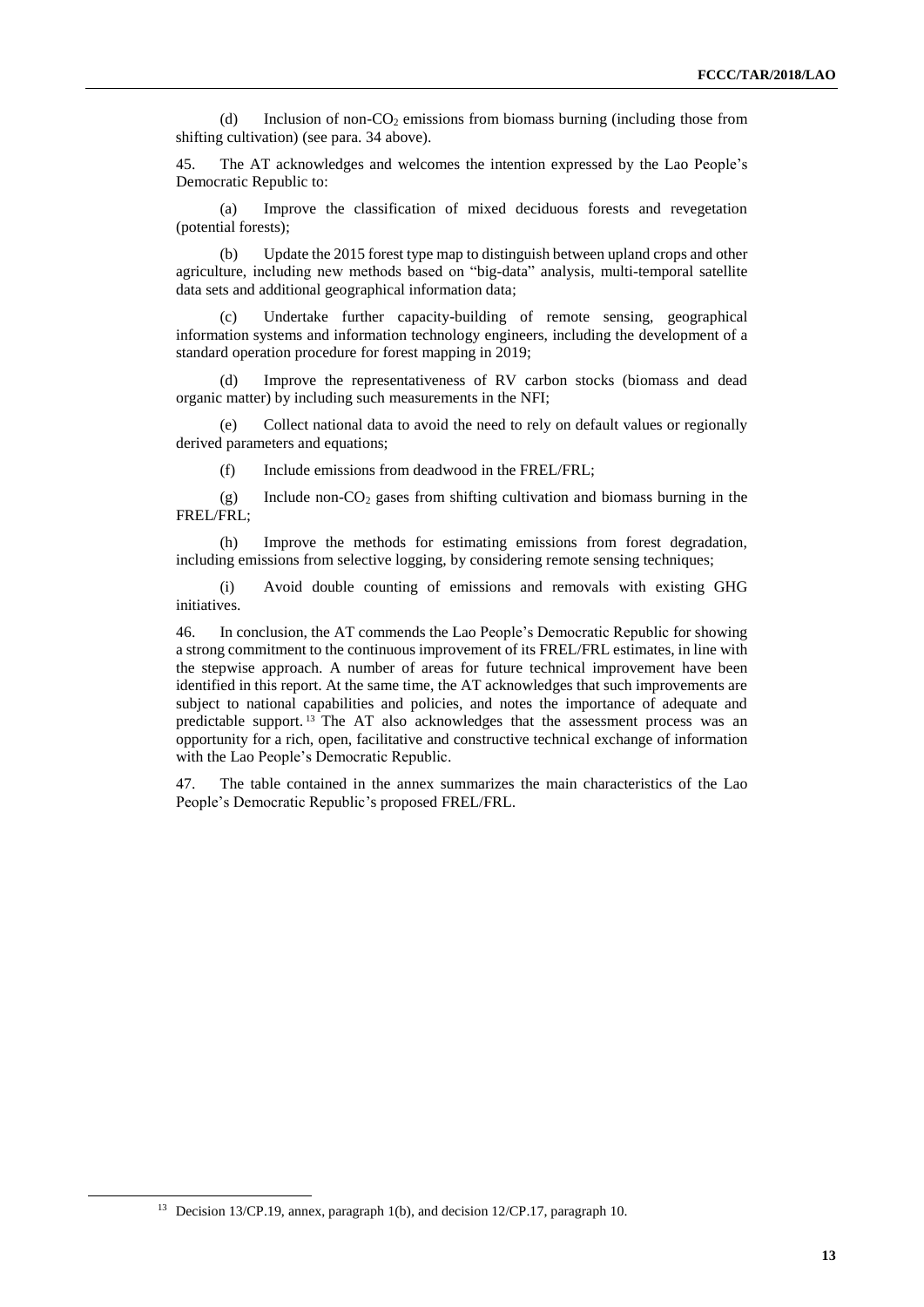(d) Inclusion of non-CO<sup>2</sup> emissions from biomass burning (including those from shifting cultivation) (see para. 34 above).

45. The AT acknowledges and welcomes the intention expressed by the Lao People's Democratic Republic to:

(a) Improve the classification of mixed deciduous forests and revegetation (potential forests);

(b) Update the 2015 forest type map to distinguish between upland crops and other agriculture, including new methods based on "big-data" analysis, multi-temporal satellite data sets and additional geographical information data;

(c) Undertake further capacity-building of remote sensing, geographical information systems and information technology engineers, including the development of a standard operation procedure for forest mapping in 2019;

(d) Improve the representativeness of RV carbon stocks (biomass and dead organic matter) by including such measurements in the NFI;

(e) Collect national data to avoid the need to rely on default values or regionally derived parameters and equations;

(f) Include emissions from deadwood in the FREL/FRL;

(g) Include non- $CO<sub>2</sub>$  gases from shifting cultivation and biomass burning in the FREL/FRL;

(h) Improve the methods for estimating emissions from forest degradation, including emissions from selective logging, by considering remote sensing techniques;

(i) Avoid double counting of emissions and removals with existing GHG initiatives.

46. In conclusion, the AT commends the Lao People's Democratic Republic for showing a strong commitment to the continuous improvement of its FREL/FRL estimates, in line with the stepwise approach. A number of areas for future technical improvement have been identified in this report. At the same time, the AT acknowledges that such improvements are subject to national capabilities and policies, and notes the importance of adequate and predictable support.<sup>13</sup> The AT also acknowledges that the assessment process was an opportunity for a rich, open, facilitative and constructive technical exchange of information with the Lao People's Democratic Republic.

<span id="page-12-0"></span>47. The table contained in the annex summarizes the main characteristics of the Lao People's Democratic Republic's proposed FREL/FRL.

<sup>&</sup>lt;sup>13</sup> Decision 13/CP.19, annex, paragraph 1(b), and decision 12/CP.17, paragraph 10.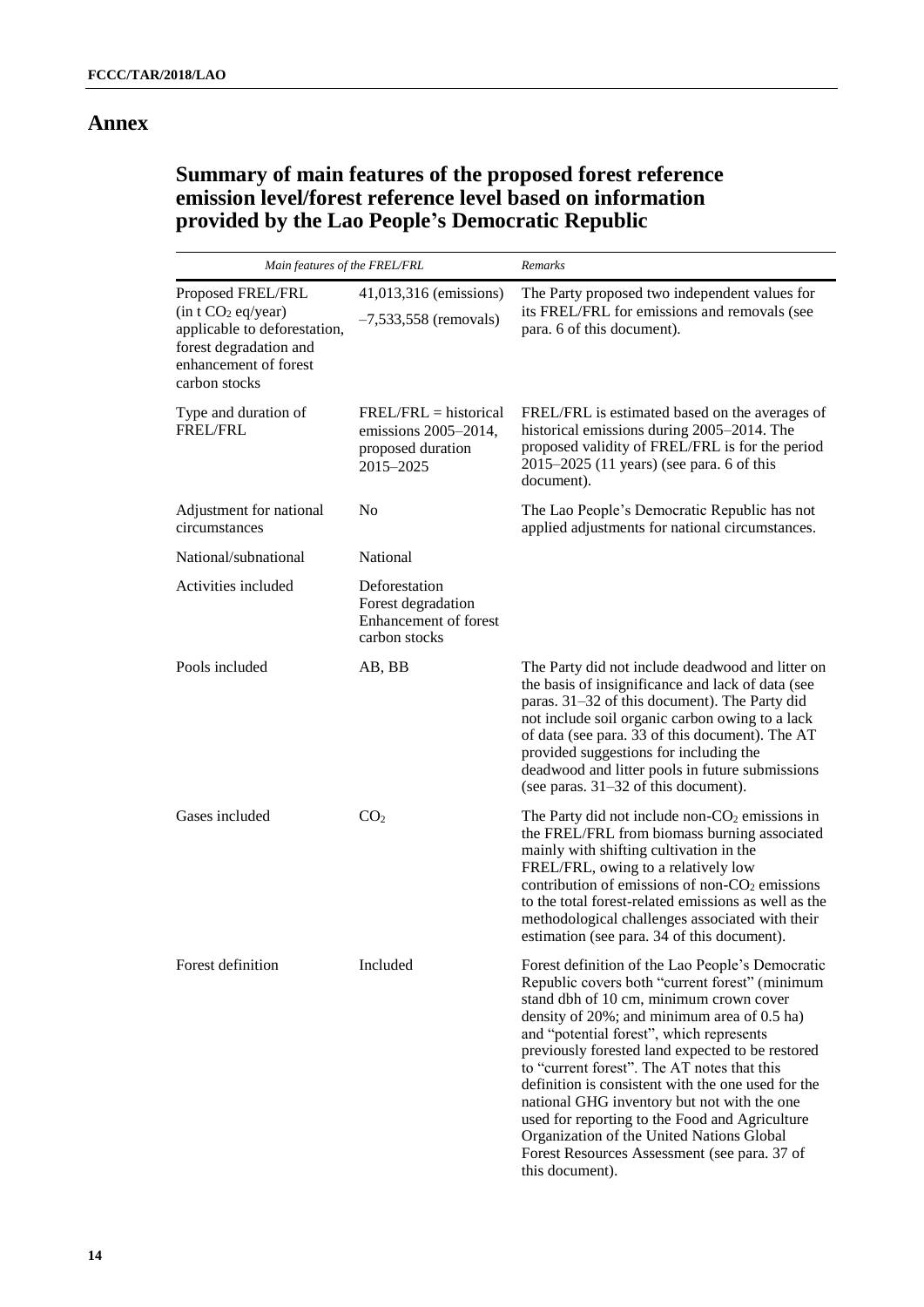### **Annex**

## **Summary of main features of the proposed forest reference emission level/forest reference level based on information provided by the Lao People's Democratic Republic**

| Main features of the FREL/FRL                                                                                                          |                                                                                   | Remarks                                                                                                                                                                                                                                                                                                                                                                                                                                                                                                                                                                                                                |  |  |
|----------------------------------------------------------------------------------------------------------------------------------------|-----------------------------------------------------------------------------------|------------------------------------------------------------------------------------------------------------------------------------------------------------------------------------------------------------------------------------------------------------------------------------------------------------------------------------------------------------------------------------------------------------------------------------------------------------------------------------------------------------------------------------------------------------------------------------------------------------------------|--|--|
| Proposed FREL/FRL<br>(in t CO <sub>2</sub> eq/year)<br>applicable to deforestation,<br>forest degradation and<br>enhancement of forest | 41,013,316 (emissions)<br>$-7,533,558$ (removals)                                 | The Party proposed two independent values for<br>its FREL/FRL for emissions and removals (see<br>para. 6 of this document).                                                                                                                                                                                                                                                                                                                                                                                                                                                                                            |  |  |
| carbon stocks                                                                                                                          |                                                                                   |                                                                                                                                                                                                                                                                                                                                                                                                                                                                                                                                                                                                                        |  |  |
| Type and duration of<br><b>FREL/FRL</b>                                                                                                | $FREL/FRL = historical$<br>emissions 2005–2014,<br>proposed duration<br>2015-2025 | FREL/FRL is estimated based on the averages of<br>historical emissions during 2005-2014. The<br>proposed validity of FREL/FRL is for the period<br>2015-2025 (11 years) (see para. 6 of this<br>document).                                                                                                                                                                                                                                                                                                                                                                                                             |  |  |
| Adjustment for national<br>circumstances                                                                                               | No                                                                                | The Lao People's Democratic Republic has not<br>applied adjustments for national circumstances.                                                                                                                                                                                                                                                                                                                                                                                                                                                                                                                        |  |  |
| National/subnational                                                                                                                   | National                                                                          |                                                                                                                                                                                                                                                                                                                                                                                                                                                                                                                                                                                                                        |  |  |
| Activities included                                                                                                                    | Deforestation<br>Forest degradation<br>Enhancement of forest<br>carbon stocks     |                                                                                                                                                                                                                                                                                                                                                                                                                                                                                                                                                                                                                        |  |  |
| Pools included                                                                                                                         | AB, BB                                                                            | The Party did not include deadwood and litter on<br>the basis of insignificance and lack of data (see<br>paras. 31-32 of this document). The Party did<br>not include soil organic carbon owing to a lack<br>of data (see para. 33 of this document). The AT<br>provided suggestions for including the<br>deadwood and litter pools in future submissions<br>(see paras. $31-32$ of this document).                                                                                                                                                                                                                    |  |  |
| Gases included                                                                                                                         | CO <sub>2</sub>                                                                   | The Party did not include non- $CO2$ emissions in<br>the FREL/FRL from biomass burning associated<br>mainly with shifting cultivation in the<br>FREL/FRL, owing to a relatively low<br>contribution of emissions of non- $CO2$ emissions<br>to the total forest-related emissions as well as the<br>methodological challenges associated with their<br>estimation (see para. 34 of this document).                                                                                                                                                                                                                     |  |  |
| Forest definition                                                                                                                      | Included                                                                          | Forest definition of the Lao People's Democratic<br>Republic covers both "current forest" (minimum<br>stand dbh of 10 cm, minimum crown cover<br>density of $20\%$ ; and minimum area of 0.5 ha)<br>and "potential forest", which represents<br>previously forested land expected to be restored<br>to "current forest". The AT notes that this<br>definition is consistent with the one used for the<br>national GHG inventory but not with the one<br>used for reporting to the Food and Agriculture<br>Organization of the United Nations Global<br>Forest Resources Assessment (see para. 37 of<br>this document). |  |  |